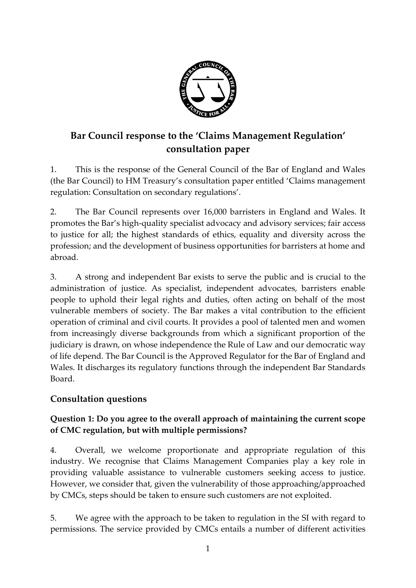

# **Bar Council response to the 'Claims Management Regulation' consultation paper**

1. This is the response of the General Council of the Bar of England and Wales (the Bar Council) to HM Treasury's consultation paper entitled 'Claims management regulation: Consultation on secondary regulations'.

2. The Bar Council represents over 16,000 barristers in England and Wales. It promotes the Bar's high-quality specialist advocacy and advisory services; fair access to justice for all; the highest standards of ethics, equality and diversity across the profession; and the development of business opportunities for barristers at home and abroad.

3. A strong and independent Bar exists to serve the public and is crucial to the administration of justice. As specialist, independent advocates, barristers enable people to uphold their legal rights and duties, often acting on behalf of the most vulnerable members of society. The Bar makes a vital contribution to the efficient operation of criminal and civil courts. It provides a pool of talented men and women from increasingly diverse backgrounds from which a significant proportion of the judiciary is drawn, on whose independence the Rule of Law and our democratic way of life depend. The Bar Council is the Approved Regulator for the Bar of England and Wales. It discharges its regulatory functions through the independent Bar Standards Board.

## **Consultation questions**

## **Question 1: Do you agree to the overall approach of maintaining the current scope of CMC regulation, but with multiple permissions?**

4. Overall, we welcome proportionate and appropriate regulation of this industry. We recognise that Claims Management Companies play a key role in providing valuable assistance to vulnerable customers seeking access to justice. However, we consider that, given the vulnerability of those approaching/approached by CMCs, steps should be taken to ensure such customers are not exploited.

5. We agree with the approach to be taken to regulation in the SI with regard to permissions. The service provided by CMCs entails a number of different activities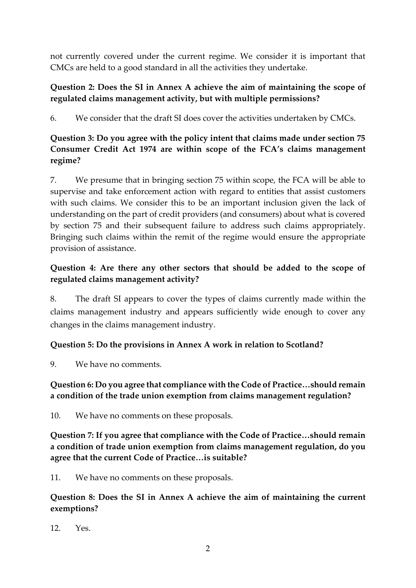not currently covered under the current regime. We consider it is important that CMCs are held to a good standard in all the activities they undertake.

## **Question 2: Does the SI in Annex A achieve the aim of maintaining the scope of regulated claims management activity, but with multiple permissions?**

6. We consider that the draft SI does cover the activities undertaken by CMCs.

# **Question 3: Do you agree with the policy intent that claims made under section 75 Consumer Credit Act 1974 are within scope of the FCA's claims management regime?**

7. We presume that in bringing section 75 within scope, the FCA will be able to supervise and take enforcement action with regard to entities that assist customers with such claims. We consider this to be an important inclusion given the lack of understanding on the part of credit providers (and consumers) about what is covered by section 75 and their subsequent failure to address such claims appropriately. Bringing such claims within the remit of the regime would ensure the appropriate provision of assistance.

# **Question 4: Are there any other sectors that should be added to the scope of regulated claims management activity?**

8. The draft SI appears to cover the types of claims currently made within the claims management industry and appears sufficiently wide enough to cover any changes in the claims management industry.

## **Question 5: Do the provisions in Annex A work in relation to Scotland?**

9. We have no comments.

## **Question 6: Do you agree that compliance with the Code of Practice…should remain a condition of the trade union exemption from claims management regulation?**

10. We have no comments on these proposals.

**Question 7: If you agree that compliance with the Code of Practice…should remain a condition of trade union exemption from claims management regulation, do you agree that the current Code of Practice…is suitable?** 

11. We have no comments on these proposals.

**Question 8: Does the SI in Annex A achieve the aim of maintaining the current exemptions?** 

 $12$  Yes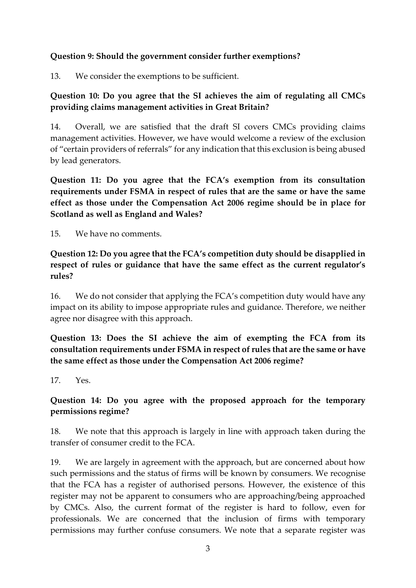#### **Question 9: Should the government consider further exemptions?**

13. We consider the exemptions to be sufficient.

## **Question 10: Do you agree that the SI achieves the aim of regulating all CMCs providing claims management activities in Great Britain?**

14. Overall, we are satisfied that the draft SI covers CMCs providing claims management activities. However, we have would welcome a review of the exclusion of "certain providers of referrals" for any indication that this exclusion is being abused by lead generators.

**Question 11: Do you agree that the FCA's exemption from its consultation requirements under FSMA in respect of rules that are the same or have the same effect as those under the Compensation Act 2006 regime should be in place for Scotland as well as England and Wales?** 

15. We have no comments.

**Question 12: Do you agree that the FCA's competition duty should be disapplied in respect of rules or guidance that have the same effect as the current regulator's rules?**

16. We do not consider that applying the FCA's competition duty would have any impact on its ability to impose appropriate rules and guidance. Therefore, we neither agree nor disagree with this approach.

**Question 13: Does the SI achieve the aim of exempting the FCA from its consultation requirements under FSMA in respect of rules that are the same or have the same effect as those under the Compensation Act 2006 regime?**

 $17$  Yes

#### **Question 14: Do you agree with the proposed approach for the temporary permissions regime?**

18. We note that this approach is largely in line with approach taken during the transfer of consumer credit to the FCA.

19. We are largely in agreement with the approach, but are concerned about how such permissions and the status of firms will be known by consumers. We recognise that the FCA has a register of authorised persons. However, the existence of this register may not be apparent to consumers who are approaching/being approached by CMCs. Also, the current format of the register is hard to follow, even for professionals. We are concerned that the inclusion of firms with temporary permissions may further confuse consumers. We note that a separate register was